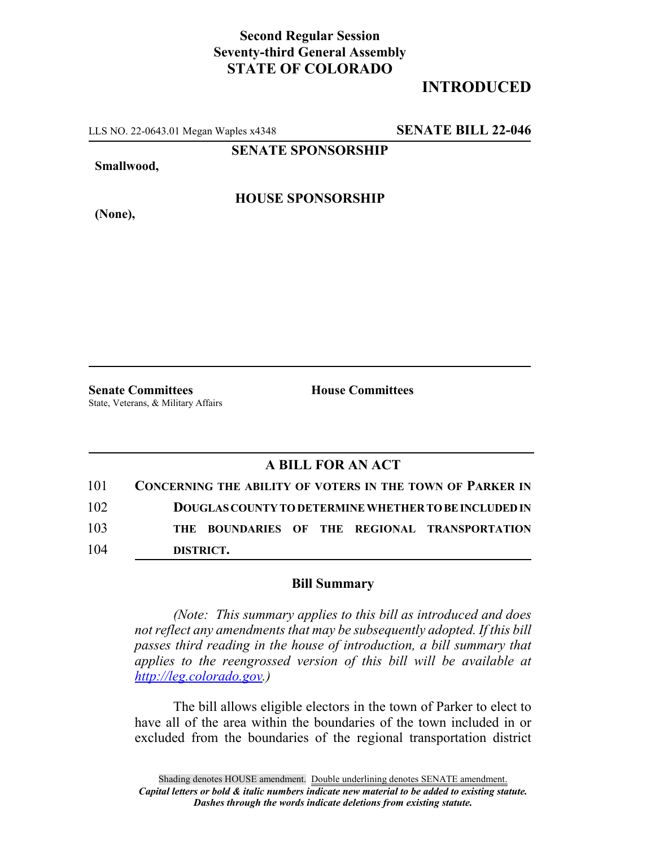## **Second Regular Session Seventy-third General Assembly STATE OF COLORADO**

# **INTRODUCED**

LLS NO. 22-0643.01 Megan Waples x4348 **SENATE BILL 22-046**

**SENATE SPONSORSHIP**

**Smallwood,**

**HOUSE SPONSORSHIP**

**(None),**

**Senate Committees House Committees** State, Veterans, & Military Affairs

### **A BILL FOR AN ACT**

| 101 | <b>CONCERNING THE ABILITY OF VOTERS IN THE TOWN OF PARKER IN</b> |
|-----|------------------------------------------------------------------|
| 102 | DOUGLAS COUNTY TO DETERMINE WHETHER TO BE INCLUDED IN            |
| 103 | THE BOUNDARIES OF THE REGIONAL TRANSPORTATION                    |
| 104 | DISTRICT.                                                        |

#### **Bill Summary**

*(Note: This summary applies to this bill as introduced and does not reflect any amendments that may be subsequently adopted. If this bill passes third reading in the house of introduction, a bill summary that applies to the reengrossed version of this bill will be available at http://leg.colorado.gov.)*

The bill allows eligible electors in the town of Parker to elect to have all of the area within the boundaries of the town included in or excluded from the boundaries of the regional transportation district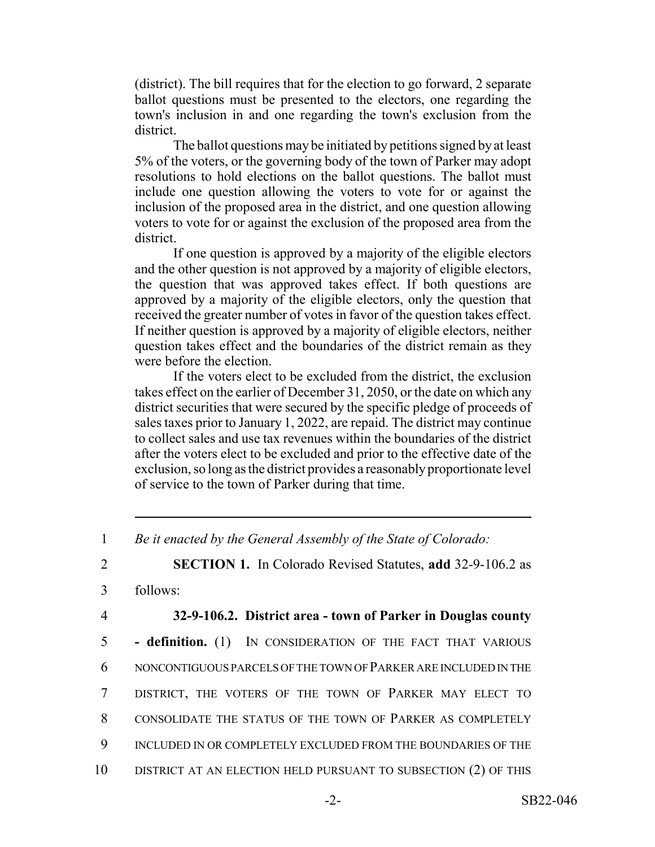(district). The bill requires that for the election to go forward, 2 separate ballot questions must be presented to the electors, one regarding the town's inclusion in and one regarding the town's exclusion from the district.

The ballot questions may be initiated by petitions signed by at least 5% of the voters, or the governing body of the town of Parker may adopt resolutions to hold elections on the ballot questions. The ballot must include one question allowing the voters to vote for or against the inclusion of the proposed area in the district, and one question allowing voters to vote for or against the exclusion of the proposed area from the district.

If one question is approved by a majority of the eligible electors and the other question is not approved by a majority of eligible electors, the question that was approved takes effect. If both questions are approved by a majority of the eligible electors, only the question that received the greater number of votes in favor of the question takes effect. If neither question is approved by a majority of eligible electors, neither question takes effect and the boundaries of the district remain as they were before the election.

If the voters elect to be excluded from the district, the exclusion takes effect on the earlier of December 31, 2050, or the date on which any district securities that were secured by the specific pledge of proceeds of sales taxes prior to January 1, 2022, are repaid. The district may continue to collect sales and use tax revenues within the boundaries of the district after the voters elect to be excluded and prior to the effective date of the exclusion, so long as the district provides a reasonably proportionate level of service to the town of Parker during that time.

1 *Be it enacted by the General Assembly of the State of Colorado:*

2 **SECTION 1.** In Colorado Revised Statutes, **add** 32-9-106.2 as

3 follows:

### 4 **32-9-106.2. District area - town of Parker in Douglas county**

 **- definition.** (1) IN CONSIDERATION OF THE FACT THAT VARIOUS NONCONTIGUOUS PARCELS OF THE TOWN OF PARKER ARE INCLUDED IN THE DISTRICT, THE VOTERS OF THE TOWN OF PARKER MAY ELECT TO CONSOLIDATE THE STATUS OF THE TOWN OF PARKER AS COMPLETELY INCLUDED IN OR COMPLETELY EXCLUDED FROM THE BOUNDARIES OF THE DISTRICT AT AN ELECTION HELD PURSUANT TO SUBSECTION (2) OF THIS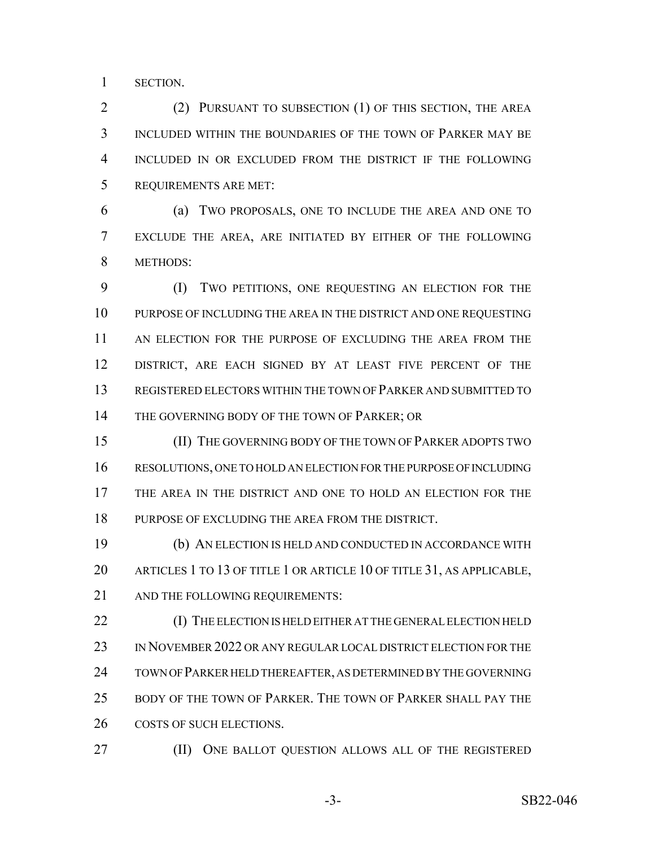SECTION.

 (2) PURSUANT TO SUBSECTION (1) OF THIS SECTION, THE AREA INCLUDED WITHIN THE BOUNDARIES OF THE TOWN OF PARKER MAY BE INCLUDED IN OR EXCLUDED FROM THE DISTRICT IF THE FOLLOWING REQUIREMENTS ARE MET:

 (a) TWO PROPOSALS, ONE TO INCLUDE THE AREA AND ONE TO EXCLUDE THE AREA, ARE INITIATED BY EITHER OF THE FOLLOWING METHODS:

 (I) TWO PETITIONS, ONE REQUESTING AN ELECTION FOR THE PURPOSE OF INCLUDING THE AREA IN THE DISTRICT AND ONE REQUESTING AN ELECTION FOR THE PURPOSE OF EXCLUDING THE AREA FROM THE DISTRICT, ARE EACH SIGNED BY AT LEAST FIVE PERCENT OF THE REGISTERED ELECTORS WITHIN THE TOWN OF PARKER AND SUBMITTED TO 14 THE GOVERNING BODY OF THE TOWN OF PARKER; OR

15 (II) THE GOVERNING BODY OF THE TOWN OF PARKER ADOPTS TWO RESOLUTIONS, ONE TO HOLD AN ELECTION FOR THE PURPOSE OF INCLUDING THE AREA IN THE DISTRICT AND ONE TO HOLD AN ELECTION FOR THE PURPOSE OF EXCLUDING THE AREA FROM THE DISTRICT.

 (b) AN ELECTION IS HELD AND CONDUCTED IN ACCORDANCE WITH 20 ARTICLES 1 TO 13 OF TITLE 1 OR ARTICLE 10 OF TITLE 31, AS APPLICABLE, 21 AND THE FOLLOWING REQUIREMENTS:

 (I) THE ELECTION IS HELD EITHER AT THE GENERAL ELECTION HELD IN NOVEMBER 2022 OR ANY REGULAR LOCAL DISTRICT ELECTION FOR THE TOWN OF PARKER HELD THEREAFTER, AS DETERMINED BY THE GOVERNING BODY OF THE TOWN OF PARKER. THE TOWN OF PARKER SHALL PAY THE 26 COSTS OF SUCH ELECTIONS.

(II) ONE BALLOT QUESTION ALLOWS ALL OF THE REGISTERED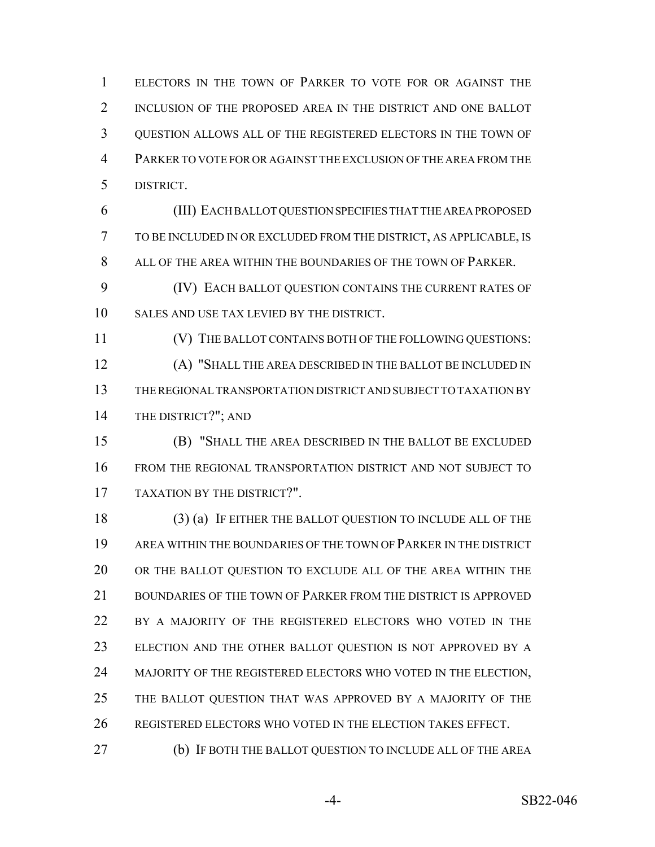ELECTORS IN THE TOWN OF PARKER TO VOTE FOR OR AGAINST THE INCLUSION OF THE PROPOSED AREA IN THE DISTRICT AND ONE BALLOT QUESTION ALLOWS ALL OF THE REGISTERED ELECTORS IN THE TOWN OF PARKER TO VOTE FOR OR AGAINST THE EXCLUSION OF THE AREA FROM THE DISTRICT.

 (III) EACH BALLOT QUESTION SPECIFIES THAT THE AREA PROPOSED TO BE INCLUDED IN OR EXCLUDED FROM THE DISTRICT, AS APPLICABLE, IS ALL OF THE AREA WITHIN THE BOUNDARIES OF THE TOWN OF PARKER.

 (IV) EACH BALLOT QUESTION CONTAINS THE CURRENT RATES OF SALES AND USE TAX LEVIED BY THE DISTRICT.

 (V) THE BALLOT CONTAINS BOTH OF THE FOLLOWING QUESTIONS: (A) "SHALL THE AREA DESCRIBED IN THE BALLOT BE INCLUDED IN THE REGIONAL TRANSPORTATION DISTRICT AND SUBJECT TO TAXATION BY THE DISTRICT?"; AND

 (B) "SHALL THE AREA DESCRIBED IN THE BALLOT BE EXCLUDED FROM THE REGIONAL TRANSPORTATION DISTRICT AND NOT SUBJECT TO TAXATION BY THE DISTRICT?".

 (3) (a) IF EITHER THE BALLOT QUESTION TO INCLUDE ALL OF THE AREA WITHIN THE BOUNDARIES OF THE TOWN OF PARKER IN THE DISTRICT OR THE BALLOT QUESTION TO EXCLUDE ALL OF THE AREA WITHIN THE 21 BOUNDARIES OF THE TOWN OF PARKER FROM THE DISTRICT IS APPROVED BY A MAJORITY OF THE REGISTERED ELECTORS WHO VOTED IN THE ELECTION AND THE OTHER BALLOT QUESTION IS NOT APPROVED BY A 24 MAJORITY OF THE REGISTERED ELECTORS WHO VOTED IN THE ELECTION, THE BALLOT QUESTION THAT WAS APPROVED BY A MAJORITY OF THE REGISTERED ELECTORS WHO VOTED IN THE ELECTION TAKES EFFECT.

(b) IF BOTH THE BALLOT QUESTION TO INCLUDE ALL OF THE AREA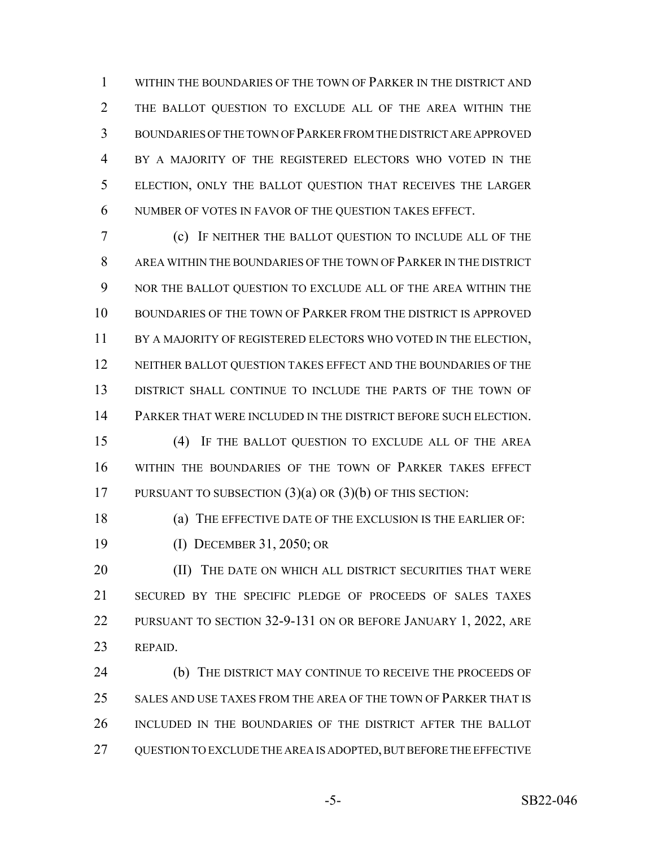WITHIN THE BOUNDARIES OF THE TOWN OF PARKER IN THE DISTRICT AND THE BALLOT QUESTION TO EXCLUDE ALL OF THE AREA WITHIN THE BOUNDARIES OF THE TOWN OF PARKER FROM THE DISTRICT ARE APPROVED BY A MAJORITY OF THE REGISTERED ELECTORS WHO VOTED IN THE ELECTION, ONLY THE BALLOT QUESTION THAT RECEIVES THE LARGER NUMBER OF VOTES IN FAVOR OF THE QUESTION TAKES EFFECT.

 (c) IF NEITHER THE BALLOT QUESTION TO INCLUDE ALL OF THE AREA WITHIN THE BOUNDARIES OF THE TOWN OF PARKER IN THE DISTRICT NOR THE BALLOT QUESTION TO EXCLUDE ALL OF THE AREA WITHIN THE BOUNDARIES OF THE TOWN OF PARKER FROM THE DISTRICT IS APPROVED 11 BY A MAJORITY OF REGISTERED ELECTORS WHO VOTED IN THE ELECTION, 12 NEITHER BALLOT QUESTION TAKES EFFECT AND THE BOUNDARIES OF THE DISTRICT SHALL CONTINUE TO INCLUDE THE PARTS OF THE TOWN OF PARKER THAT WERE INCLUDED IN THE DISTRICT BEFORE SUCH ELECTION.

 (4) IF THE BALLOT QUESTION TO EXCLUDE ALL OF THE AREA WITHIN THE BOUNDARIES OF THE TOWN OF PARKER TAKES EFFECT PURSUANT TO SUBSECTION (3)(a) OR (3)(b) OF THIS SECTION:

 (a) THE EFFECTIVE DATE OF THE EXCLUSION IS THE EARLIER OF: (I) DECEMBER 31, 2050; OR

**(II)** THE DATE ON WHICH ALL DISTRICT SECURITIES THAT WERE SECURED BY THE SPECIFIC PLEDGE OF PROCEEDS OF SALES TAXES PURSUANT TO SECTION 32-9-131 ON OR BEFORE JANUARY 1, 2022, ARE REPAID.

 (b) THE DISTRICT MAY CONTINUE TO RECEIVE THE PROCEEDS OF SALES AND USE TAXES FROM THE AREA OF THE TOWN OF PARKER THAT IS INCLUDED IN THE BOUNDARIES OF THE DISTRICT AFTER THE BALLOT 27 QUESTION TO EXCLUDE THE AREA IS ADOPTED, BUT BEFORE THE EFFECTIVE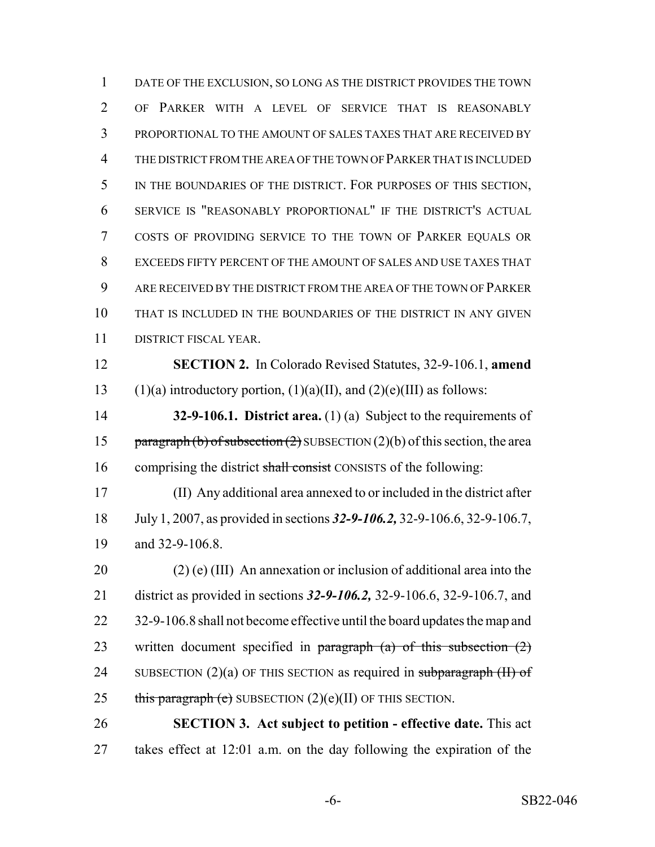DATE OF THE EXCLUSION, SO LONG AS THE DISTRICT PROVIDES THE TOWN OF PARKER WITH A LEVEL OF SERVICE THAT IS REASONABLY PROPORTIONAL TO THE AMOUNT OF SALES TAXES THAT ARE RECEIVED BY THE DISTRICT FROM THE AREA OF THE TOWN OF PARKER THAT IS INCLUDED IN THE BOUNDARIES OF THE DISTRICT. FOR PURPOSES OF THIS SECTION, SERVICE IS "REASONABLY PROPORTIONAL" IF THE DISTRICT'S ACTUAL COSTS OF PROVIDING SERVICE TO THE TOWN OF PARKER EQUALS OR EXCEEDS FIFTY PERCENT OF THE AMOUNT OF SALES AND USE TAXES THAT ARE RECEIVED BY THE DISTRICT FROM THE AREA OF THE TOWN OF PARKER THAT IS INCLUDED IN THE BOUNDARIES OF THE DISTRICT IN ANY GIVEN DISTRICT FISCAL YEAR.

 **SECTION 2.** In Colorado Revised Statutes, 32-9-106.1, **amend** 13 (1)(a) introductory portion, (1)(a)(II), and (2)(e)(III) as follows:

 **32-9-106.1. District area.** (1) (a) Subject to the requirements of 15 paragraph (b) of subsection  $(2)$  SUBSECTION  $(2)(b)$  of this section, the area 16 comprising the district shall consist CONSISTS of the following:

 (II) Any additional area annexed to or included in the district after July 1, 2007, as provided in sections *32-9-106.2,* 32-9-106.6, 32-9-106.7, and 32-9-106.8.

20 (2) (e) (III) An annexation or inclusion of additional area into the district as provided in sections *32-9-106.2,* 32-9-106.6, 32-9-106.7, and 22 32-9-106.8 shall not become effective until the board updates the map and 23 written document specified in  $\frac{1}{2}$  paragraph (a) of this subsection (2) 24 SUBSECTION  $(2)(a)$  OF THIS SECTION as required in subparagraph  $(H)$  of 25 this paragraph (e) SUBSECTION  $(2)(e)(II)$  OF THIS SECTION.

 **SECTION 3. Act subject to petition - effective date.** This act takes effect at 12:01 a.m. on the day following the expiration of the